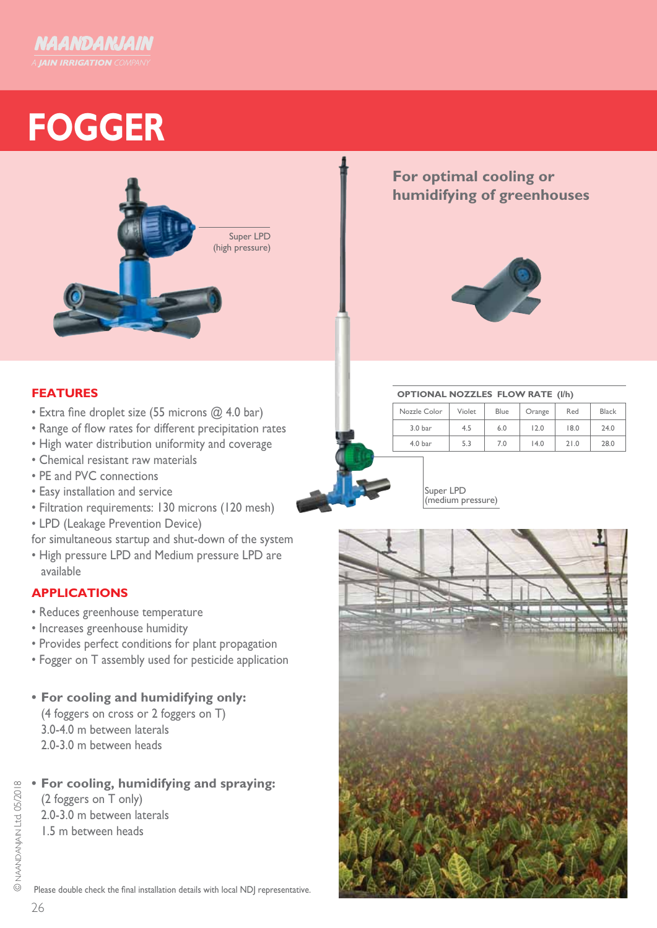

# **FOGGER**



## **For optimal cooling or humidifying of greenhouses**



### **FEATURES**

- Extra fine droplet size (55 microns @ 4.0 bar)
- Range of flow rates for different precipitation rates
- High water distribution uniformity and coverage
- Chemical resistant raw materials
- PE and PVC connections
- Easy installation and service
- Filtration requirements: 130 microns (120 mesh)
- LPD (Leakage Prevention Device)
- for simultaneous startup and shut-down of the system
- High pressure LPD and Medium pressure LPD are available

### **APPLICATIONS**

- Reduces greenhouse temperature
- Increases greenhouse humidity
- Provides perfect conditions for plant propagation
- Fogger on T assembly used for pesticide application
- **• For cooling and humidifying only:**
	- (4 foggers on cross or 2 foggers on T) 3.0-4.0 m between laterals 2.0-3.0 m between heads

### **• For cooling, humidifying and spraying:**

(2 foggers on T only) 2.0-3.0 m between laterals 1.5 m between heads

**OPTIONAL NOZZLES FLOW RATE (l/h)**

| - - - - - - -      |        |      |        |      |              |  |  |  |
|--------------------|--------|------|--------|------|--------------|--|--|--|
| Nozzle Color       | Violet | Blue | Orange | Red  | <b>Black</b> |  |  |  |
| 3.0 bar            | 4.5    | 6.0  | 12.0   | 18.0 | 24.0         |  |  |  |
| 4.0 <sub>bar</sub> | 5.3    | 7.0  | 14.0   | 21.0 | 28.0         |  |  |  |

Super LPD (medium pressure)



Please double check the final installation details with local NDJ representative.